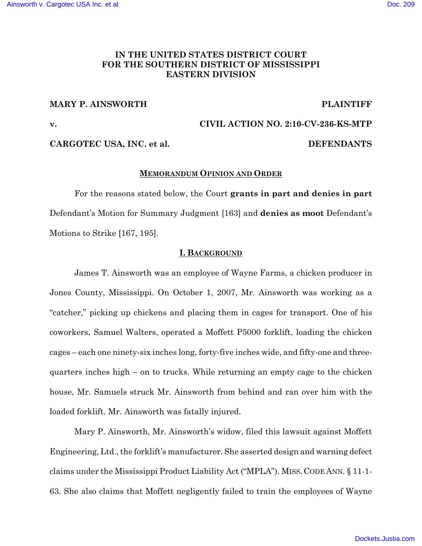# **IN THE UNITED STATES DISTRICT COURT FOR THE SOUTHERN DISTRICT OF MISSISSIPPI EASTERN DIVISION**

## **MARY P. AINSWORTH PLAINTIFF**

## **v. CIVIL ACTION NO. 2:10-CV-236-KS-MTP**

## **CARGOTEC USA, INC. et al. DEFENDANTS**

### **MEMORANDUM OPINION AND ORDER**

For the reasons stated below, the Court **grants in part and denies in part** Defendant's Motion for Summary Judgment [163] and **denies as moot** Defendant's Motions to Strike [167, 195].

## **I. BACKGROUND**

James T. Ainsworth was an employee of Wayne Farms, a chicken producer in Jones County, Mississippi. On October 1, 2007, Mr. Ainsworth was working as a "catcher," picking up chickens and placing them in cages for transport. One of his coworkers, Samuel Walters, operated a Moffett P5000 forklift, loading the chicken cages – each one ninety-six inches long, forty-five inches wide, and fifty-one and threequarters inches high – on to trucks. While returning an empty cage to the chicken house, Mr. Samuels struck Mr. Ainsworth from behind and ran over him with the loaded forklift. Mr. Ainsworth was fatally injured.

Mary P. Ainsworth, Mr. Ainsworth's widow, filed this lawsuit against Moffett Engineering, Ltd., the forklift's manufacturer. She asserted design and warning defect claims under the Mississippi Product Liability Act ("MPLA"). MISS. CODE ANN. § 11-1- 63. She also claims that Moffett negligently failed to train the employees of Wayne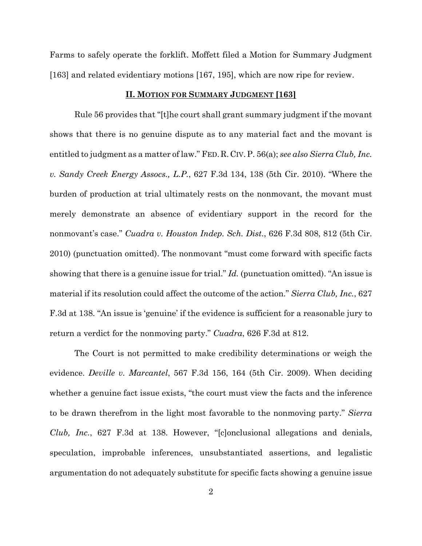Farms to safely operate the forklift. Moffett filed a Motion for Summary Judgment [163] and related evidentiary motions [167, 195], which are now ripe for review.

#### **II. MOTION FOR SUMMARY JUDGMENT [163]**

Rule 56 provides that "[t]he court shall grant summary judgment if the movant shows that there is no genuine dispute as to any material fact and the movant is entitled to judgment as a matter of law." FED. R. CIV.P. 56(a); *see also Sierra Club, Inc. v. Sandy Creek Energy Assocs., L.P.*, 627 F.3d 134, 138 (5th Cir. 2010). "Where the burden of production at trial ultimately rests on the nonmovant, the movant must merely demonstrate an absence of evidentiary support in the record for the nonmovant's case." *Cuadra v. Houston Indep. Sch. Dist.*, 626 F.3d 808, 812 (5th Cir. 2010) (punctuation omitted). The nonmovant "must come forward with specific facts showing that there is a genuine issue for trial." *Id.* (punctuation omitted). "An issue is material if its resolution could affect the outcome of the action." *Sierra Club, Inc.*, 627 F.3d at 138. "An issue is 'genuine' if the evidence is sufficient for a reasonable jury to return a verdict for the nonmoving party." *Cuadra*, 626 F.3d at 812.

The Court is not permitted to make credibility determinations or weigh the evidence. *Deville v. Marcantel*, 567 F.3d 156, 164 (5th Cir. 2009). When deciding whether a genuine fact issue exists, "the court must view the facts and the inference to be drawn therefrom in the light most favorable to the nonmoving party." *Sierra Club, Inc.*, 627 F.3d at 138. However, "[c]onclusional allegations and denials, speculation, improbable inferences, unsubstantiated assertions, and legalistic argumentation do not adequately substitute for specific facts showing a genuine issue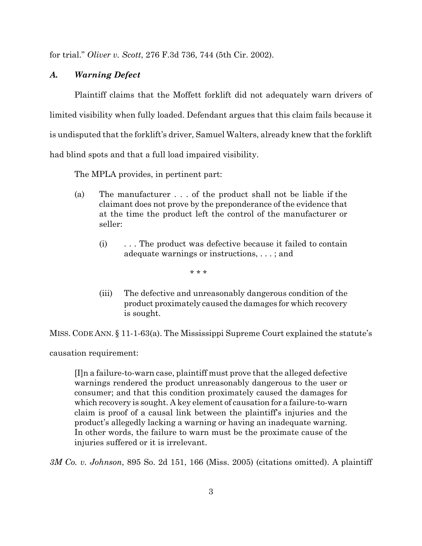for trial." *Oliver v. Scott*, 276 F.3d 736, 744 (5th Cir. 2002).

# *A. Warning Defect*

Plaintiff claims that the Moffett forklift did not adequately warn drivers of limited visibility when fully loaded. Defendant argues that this claim fails because it is undisputed that the forklift's driver, Samuel Walters, already knew that the forklift had blind spots and that a full load impaired visibility.

The MPLA provides, in pertinent part:

- (a) The manufacturer . . . of the product shall not be liable if the claimant does not prove by the preponderance of the evidence that at the time the product left the control of the manufacturer or seller:
	- (i) . . . The product was defective because it failed to contain adequate warnings or instructions, . . . ; and

\* \* \*

(iii) The defective and unreasonably dangerous condition of the product proximately caused the damages for which recovery is sought.

MISS. CODE ANN. § 11-1-63(a). The Mississippi Supreme Court explained the statute's

causation requirement:

[I]n a failure-to-warn case, plaintiff must prove that the alleged defective warnings rendered the product unreasonably dangerous to the user or consumer; and that this condition proximately caused the damages for which recovery is sought. A key element of causation for a failure-to-warn claim is proof of a causal link between the plaintiff's injuries and the product's allegedly lacking a warning or having an inadequate warning. In other words, the failure to warn must be the proximate cause of the injuries suffered or it is irrelevant.

*3M Co. v. Johnson*, 895 So. 2d 151, 166 (Miss. 2005) (citations omitted). A plaintiff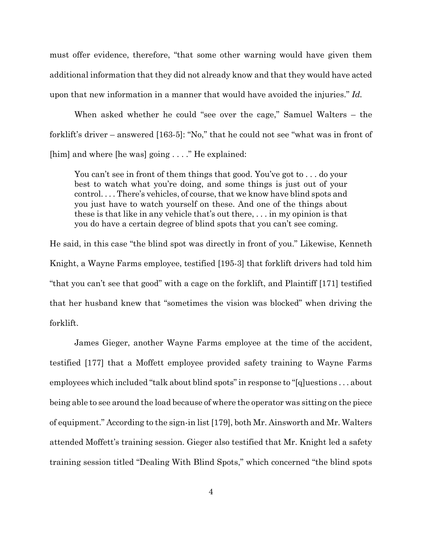must offer evidence, therefore, "that some other warning would have given them additional information that they did not already know and that they would have acted upon that new information in a manner that would have avoided the injuries." *Id.*

When asked whether he could "see over the cage," Samuel Walters – the forklift's driver – answered [163-5]: "No," that he could not see "what was in front of [him] and where [he was] going . . . ." He explained:

You can't see in front of them things that good. You've got to . . . do your best to watch what you're doing, and some things is just out of your control. . . . There's vehicles, of course, that we know have blind spots and you just have to watch yourself on these. And one of the things about these is that like in any vehicle that's out there, . . . in my opinion is that you do have a certain degree of blind spots that you can't see coming.

He said, in this case "the blind spot was directly in front of you." Likewise, Kenneth Knight, a Wayne Farms employee, testified [195-3] that forklift drivers had told him "that you can't see that good" with a cage on the forklift, and Plaintiff [171] testified that her husband knew that "sometimes the vision was blocked" when driving the forklift.

James Gieger, another Wayne Farms employee at the time of the accident, testified [177] that a Moffett employee provided safety training to Wayne Farms employees which included "talk about blind spots" in response to "[q]uestions . . . about being able to see around the load because of where the operator was sitting on the piece of equipment." According to the sign-in list [179], both Mr. Ainsworth and Mr. Walters attended Moffett's training session. Gieger also testified that Mr. Knight led a safety training session titled "Dealing With Blind Spots," which concerned "the blind spots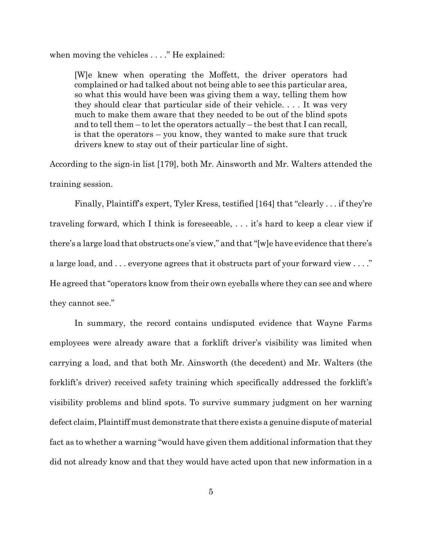when moving the vehicles . . . ." He explained:

[W]e knew when operating the Moffett, the driver operators had complained or had talked about not being able to see this particular area, so what this would have been was giving them a way, telling them how they should clear that particular side of their vehicle. . . . It was very much to make them aware that they needed to be out of the blind spots and to tell them – to let the operators actually – the best that I can recall, is that the operators – you know, they wanted to make sure that truck drivers knew to stay out of their particular line of sight.

According to the sign-in list [179], both Mr. Ainsworth and Mr. Walters attended the training session.

Finally, Plaintiff's expert, Tyler Kress, testified [164] that "clearly . . . if they're traveling forward, which I think is foreseeable, . . . it's hard to keep a clear view if there's a large load that obstructs one's view," and that "[w]e have evidence that there's a large load, and . . . everyone agrees that it obstructs part of your forward view . . . ." He agreed that "operators know from their own eyeballs where they can see and where they cannot see."

In summary, the record contains undisputed evidence that Wayne Farms employees were already aware that a forklift driver's visibility was limited when carrying a load, and that both Mr. Ainsworth (the decedent) and Mr. Walters (the forklift's driver) received safety training which specifically addressed the forklift's visibility problems and blind spots. To survive summary judgment on her warning defect claim, Plaintiff must demonstrate that there exists a genuine dispute of material fact as to whether a warning "would have given them additional information that they did not already know and that they would have acted upon that new information in a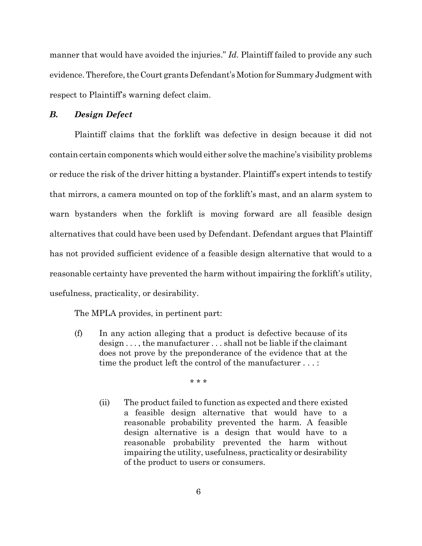manner that would have avoided the injuries." *Id*. Plaintiff failed to provide any such evidence. Therefore, the Court grants Defendant's Motion for Summary Judgment with respect to Plaintiff's warning defect claim.

## *B. Design Defect*

Plaintiff claims that the forklift was defective in design because it did not contain certain components which would either solve the machine's visibility problems or reduce the risk of the driver hitting a bystander. Plaintiff's expert intends to testify that mirrors, a camera mounted on top of the forklift's mast, and an alarm system to warn bystanders when the forklift is moving forward are all feasible design alternatives that could have been used by Defendant. Defendant argues that Plaintiff has not provided sufficient evidence of a feasible design alternative that would to a reasonable certainty have prevented the harm without impairing the forklift's utility, usefulness, practicality, or desirability.

The MPLA provides, in pertinent part:

(f) In any action alleging that a product is defective because of its design . . . , the manufacturer . . . shall not be liable if the claimant does not prove by the preponderance of the evidence that at the time the product left the control of the manufacturer . . . :

\* \* \*

(ii) The product failed to function as expected and there existed a feasible design alternative that would have to a reasonable probability prevented the harm. A feasible design alternative is a design that would have to a reasonable probability prevented the harm without impairing the utility, usefulness, practicality or desirability of the product to users or consumers.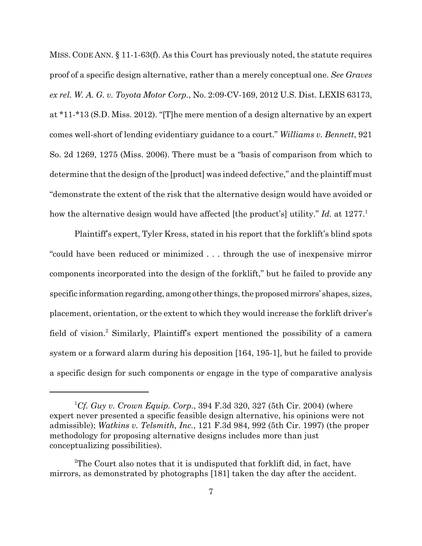MISS. CODE ANN. § 11-1-63(f). As this Court has previously noted, the statute requires proof of a specific design alternative, rather than a merely conceptual one. *See Graves ex rel. W. A. G. v. Toyota Motor Corp.*, No. 2:09-CV-169, 2012 U.S. Dist. LEXIS 63173, at \*11-\*13 (S.D. Miss. 2012). "[T]he mere mention of a design alternative by an expert comes well-short of lending evidentiary guidance to a court." *Williams v. Bennett*, 921 So. 2d 1269, 1275 (Miss. 2006). There must be a "basis of comparison from which to determine that the design of the [product] was indeed defective," and the plaintiff must "demonstrate the extent of the risk that the alternative design would have avoided or how the alternative design would have affected [the product's] utility." *Id.* at 1277.<sup>1</sup>

Plaintiff's expert, Tyler Kress, stated in his report that the forklift's blind spots "could have been reduced or minimized . . . through the use of inexpensive mirror components incorporated into the design of the forklift," but he failed to provide any specific information regarding, among other things, the proposed mirrors' shapes, sizes, placement, orientation, or the extent to which they would increase the forklift driver's field of vision.<sup>2</sup> Similarly, Plaintiff's expert mentioned the possibility of a camera system or a forward alarm during his deposition [164, 195-1], but he failed to provide a specific design for such components or engage in the type of comparative analysis

<sup>1</sup>*Cf. Guy v. Crown Equip. Corp.*, 394 F.3d 320, 327 (5th Cir. 2004) (where expert never presented a specific feasible design alternative, his opinions were not admissible); *Watkins v. Telsmith, Inc.*, 121 F.3d 984, 992 (5th Cir. 1997) (the proper methodology for proposing alternative designs includes more than just conceptualizing possibilities).

<sup>&</sup>lt;sup>2</sup>The Court also notes that it is undisputed that forklift did, in fact, have mirrors, as demonstrated by photographs [181] taken the day after the accident.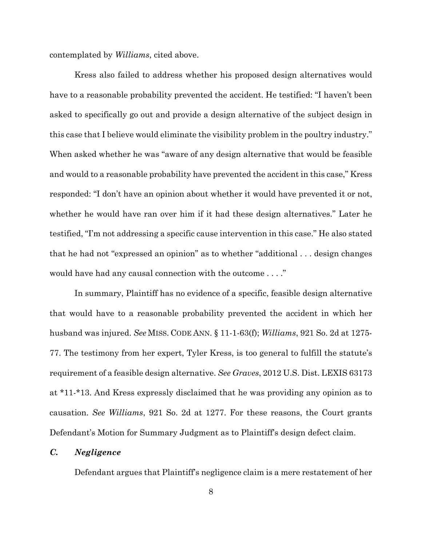contemplated by *Williams*, cited above.

Kress also failed to address whether his proposed design alternatives would have to a reasonable probability prevented the accident. He testified: "I haven't been asked to specifically go out and provide a design alternative of the subject design in this case that I believe would eliminate the visibility problem in the poultry industry." When asked whether he was "aware of any design alternative that would be feasible and would to a reasonable probability have prevented the accident in this case," Kress responded: "I don't have an opinion about whether it would have prevented it or not, whether he would have ran over him if it had these design alternatives." Later he testified, "I'm not addressing a specific cause intervention in this case." He also stated that he had not "expressed an opinion" as to whether "additional . . . design changes would have had any causal connection with the outcome . . . ."

In summary, Plaintiff has no evidence of a specific, feasible design alternative that would have to a reasonable probability prevented the accident in which her husband was injured. *See* MISS. CODE ANN. § 11-1-63(f); *Williams*, 921 So. 2d at 1275- 77. The testimony from her expert, Tyler Kress, is too general to fulfill the statute's requirement of a feasible design alternative. *See Graves*, 2012 U.S. Dist. LEXIS 63173 at \*11-\*13. And Kress expressly disclaimed that he was providing any opinion as to causation. *See Williams*, 921 So. 2d at 1277. For these reasons, the Court grants Defendant's Motion for Summary Judgment as to Plaintiff's design defect claim.

#### *C. Negligence*

Defendant argues that Plaintiff's negligence claim is a mere restatement of her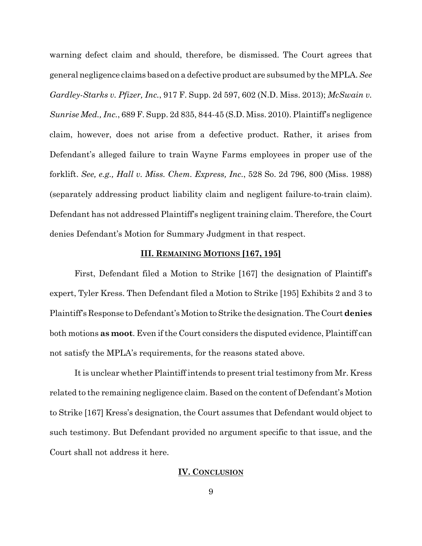warning defect claim and should, therefore, be dismissed. The Court agrees that general negligence claims based on a defective product are subsumed by the MPLA. *See Gardley-Starks v. Pfizer, Inc.*, 917 F. Supp. 2d 597, 602 (N.D. Miss. 2013); *McSwain v. Sunrise Med., Inc.*, 689 F. Supp. 2d 835, 844-45 (S.D. Miss. 2010). Plaintiff's negligence claim, however, does not arise from a defective product. Rather, it arises from Defendant's alleged failure to train Wayne Farms employees in proper use of the forklift. *See, e.g., Hall v. Miss. Chem. Express, Inc.*, 528 So. 2d 796, 800 (Miss. 1988) (separately addressing product liability claim and negligent failure-to-train claim). Defendant has not addressed Plaintiff's negligent training claim. Therefore, the Court denies Defendant's Motion for Summary Judgment in that respect.

### **III. REMAINING MOTIONS [167, 195]**

First, Defendant filed a Motion to Strike [167] the designation of Plaintiff's expert, Tyler Kress. Then Defendant filed a Motion to Strike [195] Exhibits 2 and 3 to Plaintiff's Response to Defendant's Motion to Strike the designation. The Court **denies** both motions **as moot**. Even if the Court considers the disputed evidence, Plaintiff can not satisfy the MPLA's requirements, for the reasons stated above.

It is unclear whether Plaintiff intends to present trial testimony from Mr. Kress related to the remaining negligence claim. Based on the content of Defendant's Motion to Strike [167] Kress's designation, the Court assumes that Defendant would object to such testimony. But Defendant provided no argument specific to that issue, and the Court shall not address it here.

#### **IV. CONCLUSION**